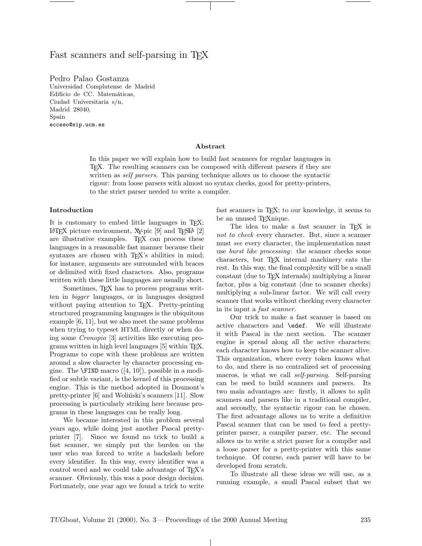# Fast scanners and self-parsing in T<sub>EX</sub>

Pedro Palao Gostanza Universidad Complutense de Madrid Edificio de CC. Matemáticas, Ciudad Universitaria s/n, Madrid 28040, Spain ecceso@sip.ucm.es

#### Abstract

In this paper we will explain how to build fast scanners for regular languages in TEX. The resulting scanners can be composed with different parsers if they are written as *self parsers*. This parsing technique allows us to choose the syntactic rigour: from loose parsers with almost no syntax checks, good for pretty-printers, to the strict parser needed to write a compiler.

#### Introduction

It is customary to embed little languages in TEX; LATEX picture environment, X<sub>Y</sub>-pic  $[9]$  and T<sub>E</sub>SLA  $[2]$ are illustrative examples. TEX can process these languages in a reasonable fast manner because their syntaxes are chosen with T<sub>EX</sub>'s abilities in mind; for instance, arguments are surrounded with braces or delimited with fixed characters. Also, programs written with these little languages are usually short.

Sometimes, T<sub>EX</sub> has to process programs written in bigger languages, or in languages designed without paying attention to T<sub>E</sub>X. Pretty-printing structured programming languages is the ubiquitous example [6, 11], but we also meet the same problems when trying to typeset HTML directly or when doing some Cronopio [3] activities like executing programs written in high level languages [5] within TEX. Programs to cope with these problems are written around a slow character by character processing engine. The  $\F{IND}$  macro  $([4, 10])$ , possible in a modified or subtle variant, is the kernel of this processing engine. This is the method adopted in Doumont's pretty-printer  $[6]$  and Woliński's scanners  $[11]$ . Slow processing is particularly striking here because programs in these languages can be really long.

We became interested in this problem several years ago, while doing just another Pascal prettyprinter [7]. Since we found no trick to build a fast scanner, we simply put the burden on the user who was forced to write a backslash before every identifier. In this way, every identifier was a control word and we could take advantage of TEX's scanner. Obviously, this was a poor design decision. Fortunately, one year ago we found a trick to write

fast scanners in TEX; to our knowledge, it seems to be an unused TEXnique.

The idea to make a fast scanner in TEX is not to check every character. But, since a scanner must see every character, the implementation must use *burst like processing*: the scanner checks some characters, but TEX internal machinery eats the rest. In this way, the final complexity will be a small constant (due to TEX internals) multiplying a linear factor, plus a big constant (due to scanner checks) multiplying a sub-linear factor. We will call every scanner that works without checking every character in its input a fast scanner.

Our trick to make a fast scanner is based on active characters and \edef. We will illustrate it with Pascal in the next section. The scanner engine is spread along all the active characters; each character knows how to keep the scanner alive. This organization, where every token knows what to do, and there is no centralized set of processing macros, is what we call self-parsing. Self-parsing can be used to build scanners and parsers. Its two main advantages are: firstly, it allows to split scanners and parsers like in a traditional compiler, and secondly, the syntactic rigour can be chosen. The first advantage allows us to write a definitive Pascal scanner that can be used to feed a prettyprinter parser, a compiler parser, etc. The second allows us to write a strict parser for a compiler and a loose parser for a pretty-printer with this same technique. Of course, each parser will have to be developed from scratch.

To illustrate all these ideas we will use, as a running example, a small Pascal subset that we

 $\perp$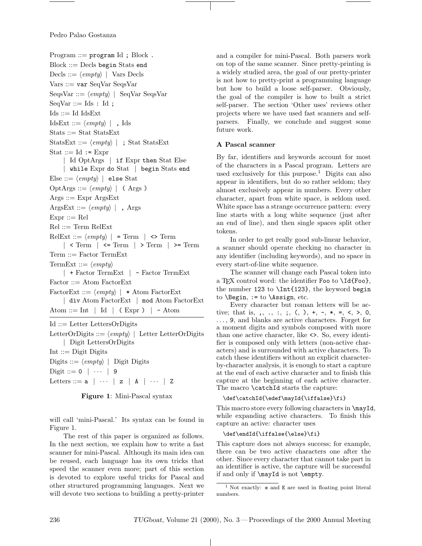Program  $::=$  program Id ; Block. Block ::= Decls begin Stats end Decls ::=  $\langle \text{empty} \rangle$  | Vars Decls Vars ::= var SeqVar SeqsVar SeqsVar  $\langle \text{empty} \rangle$  | SeqVar SeqsVar  $SeqVar ::= Ids : Id;$  $\text{Ids} ::= \text{Id} \text{ IdsExt}$  $\text{IdsExt} ::= \langle \text{empty} \rangle |$ , Ids Stats ::= Stat StatsExt StatsExt ::=  $\langle empty \rangle$  | ; Stat StatsExt Stat  $::=$  Id  $:=$  Expr | Id OptArgs | if Expr then Stat Else | while Expr do Stat | begin Stats end Else ::=  $\langle empty \rangle$  | else Stat OptArgs ::=  $\langle empty \rangle$  | (Args)  $\text{A} \text{rgs} ::= \text{Expr} \text{A} \text{rgs} \text{Ext}$ ArgsExt ::=  $\langle empty \rangle$  | , Args  $\mathrm{Expr} ::= \mathrm{Rel}$ Rel ::= Term RelExt  $Re$ Ext ::=  $\langle empty \rangle$  | = Term | <> Term |  $\leq$  Term |  $\leq$  Term |  $\geq$  Term |  $\geq$  Term Term ::= Factor TermExt TermExt ::=  $\langle empty \rangle$ | + Factor TermExt | - Factor TermExt Factor ::= Atom FactorExt FactorExt ::=  $\langle empty \rangle$  | \* Atom FactorExt | div Atom FactorExt | mod Atom FactorExt Atom  $::= \text{Int} \mid \text{Id} \mid (\text{Expr}) \mid - \text{Atom}$ Id ::= Letter LettersOrDigits LetterOrDigits  $\frac{m}{m}$  | Letter LetterOrDigits | Digit LettersOrDigits  $Int ::=$  Digit Digits

Digits  $\equiv \langle empty \rangle$  | Digit Digits Digit ::=  $0$  |  $\cdots$  | 9 Letters ::=  $a \mid \cdots \mid z \mid A \mid \cdots \mid Z$ 

Figure 1: Mini-Pascal syntax

will call 'mini-Pascal.' Its syntax can be found in Figure 1.

The rest of this paper is organized as follows. In the next section, we explain how to write a fast scanner for mini-Pascal. Although its main idea can be reused, each language has its own tricks that speed the scanner even more; part of this section is devoted to explore useful tricks for Pascal and other structured programming languages. Next we will devote two sections to building a pretty-printer

and a compiler for mini-Pascal. Both parsers work on top of the same scanner. Since pretty-printing is a widely studied area, the goal of our pretty-printer is not how to pretty-print a programming language but how to build a loose self-parser. Obviously, the goal of the compiler is how to built a strict self-parser. The section 'Other uses' reviews other projects where we have used fast scanners and selfparsers. Finally, we conclude and suggest some future work.

#### A Pascal scanner

By far, identifiers and keywords account for most of the characters in a Pascal program. Letters are used exclusively for this purpose.<sup>1</sup> Digits can also appear in identifiers, but do so rather seldom; they almost exclusively appear in numbers. Every other character, apart from white space, is seldom used. White space has a strange occurrence pattern: every line starts with a long white sequence (just after an end of line), and then single spaces split other tokens.

In order to get really good sub-linear behavior, a scanner should operate checking no character in any identifier (including keywords), and no space in every start-of-line white sequence.

The scanner will change each Pascal token into a TFX control word: the identifier Foo to \Id{Foo}, the number 123 to \Int{123}, the keyword begin to  $\begin{cases} t \to \mathbb{R} \text{ and } t \in \mathbb{R} \text{ and } t \in \mathbb{R}. \end{cases}$ 

Every character but roman letters will be active; that is, ,, ., :, ;,  $(, )$ , +, -,  $*,$  =, <, >, 0, . . . , 9, and blanks are active characters. Forget for a moment digits and symbols composed with more than one active character, like <>. So, every identifier is composed only with letters (non-active characters) and is surrounded with active characters. To catch these identifiers without an explicit characterby-character analysis, it is enough to start a capture at the end of each active character and to finish this capture at the beginning of each active character. The macro \catchId starts the capture:

#### \def\catchId{\edef\mayId{\iffalse}\fi}

This macro store every following characters in \mayId, while expanding active characters. To finish this capture an active: character uses

#### \def\endId{\iffalse{\else}\fi}

This capture does not always success; for example, there can be two active characters one after the other. Since every character that cannot take part in an identifier is active, the capture will be successful if and only if \mayId is not \empty.

 $\mathbf{I}$ 

<sup>&</sup>lt;sup>1</sup> Not exactly: **e** and **E** are used in floating point literal numbers.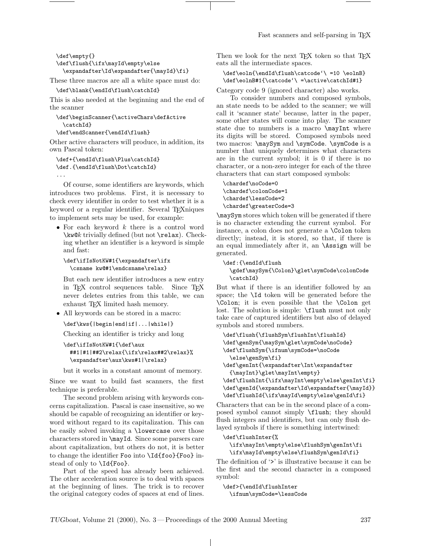Fast scanners and self-parsing in T<sub>E</sub>X

```
\def\empty{}
\def\flush{\ifx\mayId\empty\else
 \expandafter\Id\expandafter{\mayId}\fi}
```
These three macros are all a white space must do:

```
\def\blank{\endId\flush\catchId}
```
This is also needed at the beginning and the end of the scanner

```
\def\beginScanner{\activeChars\defActive
 \catchId}
```
\def\endScanner{\endId\flush}

Other active characters will produce, in addition, its own Pascal token:

```
\def+{\endId\flush\Plus\catchId}
\def.{\endId\flush\Dot\catchId}
...
```
Of course, some identifiers are keywords, which introduces two problems. First, it is necessary to check every identifier in order to test whether it is a keyword or a regular identifier. Several T<sub>EX</sub>niques to implement sets may be used, for example:

• For each keyword  $k$  there is a control word  $\kappa$  trivially defined (but not  $\relax \relax \relax 0$ ). Checking whether an identifier is a keyword is simple and fast:

```
\def\ifIsNotKW#1{\expandafter\ifx
  \csname kw@#1\endcsname\relax}
```
But each new identifier introduces a new entry in TEX control sequences table. Since TEX never deletes entries from this table, we can exhaust T<sub>E</sub>X limited hash memory.

• All keywords can be stored in a macro:

```
\def\kws{|begin|end|if|...|while|}
```
Checking an identifier is tricky and long

```
\def\ifIsNotKW#1{\def\aux
 ##1|#1|##2\relax{\ifx\relax##2\relax}%
  \expandafter\aux\kws#1|\relax}
```
but it works in a constant amount of memory.

Since we want to build fast scanners, the first technique is preferable.

The second problem arising with keywords concerns capitalization. Pascal is case insensitive, so we should be capable of recognizing an identifier or keyword without regard to its capitalization. This can be easily solved invoking a \lowercase over those characters stored in \mayId. Since some parsers care about capitalization, but others do not, it is better to change the identifier Foo into \Id{foo}{Foo} instead of only to \Id{Foo}.

Part of the speed has already been achieved. The other acceleration source is to deal with spaces at the beginning of lines. The trick is to recover the original category codes of spaces at end of lines.

Then we look for the next T<sub>E</sub>X token so that T<sub>E</sub>X eats all the intermediate spaces.

```
\def\eoln{\endId\flush\catcode'\ =10 \eolnB}
\def\eolnB#1{\catcode'\ =\active\catchId#1}
```
Category code 9 (ignored character) also works.

To consider numbers and composed symbols, an state needs to be added to the scanner; we will call it 'scanner state' because, latter in the paper, some other states will come into play. The scanner state due to numbers is a macro **\mayInt** where its digits will be stored. Composed symbols need two macros: **\maySym** and **\symCode**. **\symCode** is a number that uniquely determines what characters are in the current symbol; it is 0 if there is no character, or a non-zero integer for each of the three characters that can start composed symbols:

\chardef\noCode=0 \chardef\colonCode=1 \chardef\lessCode=2 \chardef\greaterCode=3

\maySym stores which token will be generated if there is no character extending the current symbol. For instance, a colon does not generate a \Colon token directly; instead, it is stored, so that, if there is an equal immediately after it, an \Assign will be generated.

```
\def:{\endId\flush
```

```
\gdef\maySym{\Colon}\glet\symCode\colonCode
\catchId}
```
But what if there is an identifier followed by an space; the \Id token will be generated before the \Colon; it is even possible that the \Colon get lost. The solution is simple: \flush must not only take care of captured identifiers but also of delayed symbols and stored numbers.

```
\def\flush{\flushSym\flushInt\flushId}
\def\genSym{\maySym\glet\symCode\noCode}
\def\flushSym{\ifnum\symCode=\noCode
 \else\genSym\fi}
\def\genInt{\expandafter\Int\expandafter
 {\mayInt}\glet\mayInt\empty}
\def\flushInt{\ifx\mayInt\empty\else\genInt\fi}
\def\genId{\expandafter\Id\expandafter{\mayId}}
```
\def\flushId{\ifx\mayId\empty\else\genId\fi} Characters that can be in the second place of a composed symbol cannot simply \flush; they should flush integers and identifiers, but can only flush delayed symbols if there is something intertwined:

```
\def\flushInter{%
```
\ifx\mayInt\empty\else\flushSym\genInt\fi \ifx\mayId\empty\else\flushSym\genId\fi}

The definition of '>' is illustrative because it can be the first and the second character in a composed symbol:

\def>{\endId\flushInter \ifnum\symCode=\lessCode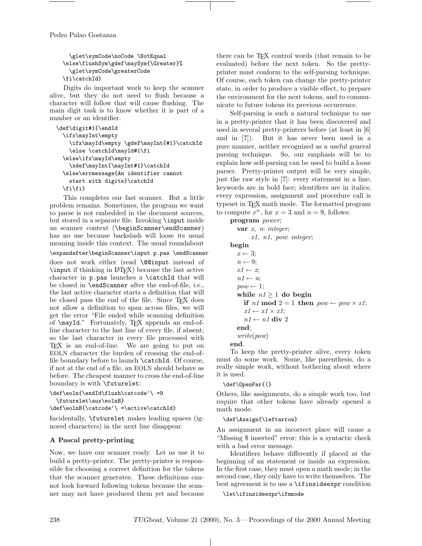Pedro Palao Gostanza

\glet\symCode\noCode \NotEqual \else\flushSym\gdef\maySym{\Greater}% \glet\symCode\greaterCode \fi\catchId}

Digits do important work to keep the scanner alive, but they do not need to flush because a character will follow that will cause flushing. The main digit task is to know whether it is part of a number or an identifier.

```
\def\digit#1{\endId
 \ifx\mayInt\empty
   \ifx\mayId\empty \gdef\mayInt{#1}\catchId
   \else \catchId\mayId#1\fi
 \else\ifx\mayId\empty
   \xdef\mayInt{\mayInt#1}\catchId
 \else\errmessage{An identifier cannot
   start with digits}\catchId
 \fi\fi}
```
This completes our fast scanner. But a little problem remains. Sometimes, the program we want to parse is not embedded in the document sources, but stored in a separate file. Invoking \input inside an scanner context (\beginScanner\endScanner) has no use because backslash will loose its usual meaning inside this context. The usual roundabout

\expandafter\beginScanner\input p.pas \endScanner

does not work either (read \@@input instead of \input if thinking in LATEX) because the last active character in p.pas launches a \catchId that will be closed in \endScanner after the end-of-file, i.e., the last active character starts a definition that will be closed pass the end of the file. Since TEX does not allow a definition to span across files, we will get the error "File ended while scanning definition of \mayId." Fortunately, TEX appends an end-ofline character to the last line of every file, if absent; so the last character in every file processed with TEX is an end-of-line. We are going to put on EOLN character the burden of crossing the end-offile boundary before to launch \catchId. Of course, if not at the end of a file, an EOLN should behave as before. The cheapest manner to cross the end-of-line boundary is with \futurelet:

```
\def\eoln{\endId\flush\catcode'\ =9
  \futurelet\aux\eolnB}
```
\def\eolnB{\catcode'\ =\active\catchId}

Incidentally, \futurelet makes leading spaces (ignored characters) in the next line disappear.

# A Pascal pretty-printing

Now, we have our scanner ready. Let us use it to build a pretty-printer. The pretty-printer is responsible for choosing a correct definition for the tokens that the scanner generates. These definitions cannot look forward following tokens because the scanner may not have produced them yet and because

there can be T<sub>E</sub>X control words (that remain to be evaluated) before the next token. So the prettyprinter must conform to the self-parsing technique. Of course, each token can change the pretty-printer state, in order to produce a visible effect, to prepare the environment for the next tokens, and to communicate to future tokens its previous occurrence.

Self-parsing is such a natural technique to use in a pretty-printer that it has been discovered and used in several pretty-printers before (at least in [6] and in [7]). But it has never been used in a pure manner, neither recognized as a useful general parsing technique. So, our emphasis will be to explain how self-parsing can be used to build a loose parser. Pretty-printer output will be very simple, just the raw style in [7]: every statement in a line; keywords are in bold face; identifiers are in italics; every expression, assignment and procedure call is typeset in TEX math mode. The formatted program to compute  $x^n$ , for  $x = 3$  and  $n = 9$ , follows:

program power; var  $x$ ,  $n:$  integer; x1, n1, pow: integer; begin  $x \leftarrow 3$ ;  $n \leftarrow 9$ ;  $x1 \leftarrow x$ ;  $n1 \leftarrow n$ ;  $pow \leftarrow 1$ ; while  $n! \geq 1$  do begin if n1 mod  $2 = 1$  then  $pow \leftarrow pow \times x1$ ;  $x1 \leftarrow x1 \times x1$ ;  $n1 \leftarrow n1$  div 2 end; write(pow) end.

To keep the pretty-printer alive, every token must do some work. Some, like parenthesis, do a really simple work, without bothering about where it is used.

# \def\OpenPar{(}

Others, like assignments, do a simple work too, but require that other tokens have already opened a math mode.

#### \def\Assign{\leftarrow}

An assignment in an incorrect place will cause a "Missing \$ inserted" error; this is a syntactic check with a bad error message.

Identifiers behave differently if placed at the beginning of an statement or inside an expression. In the first case, they must open a math mode; in the second case, they only have to write themselves. The best agreement is to use a \ifinsideexpr condition

\let\ifinsideexpr\ifmmode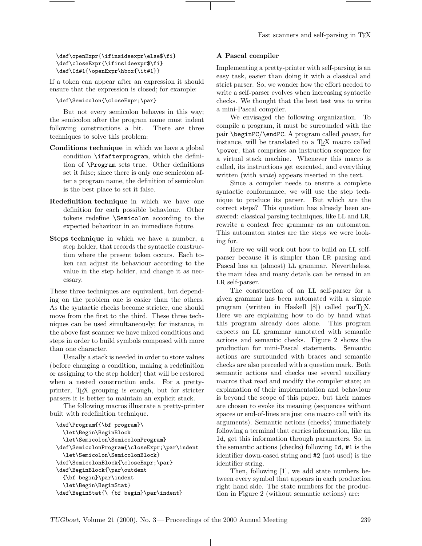#### \def\openExpr{\ifinsideexpr\else\$\fi} \def\closeExpr{\ifinsideexpr\$\fi} \def\Id#1{\openExpr\hbox{\it#1}}

If a token can appear after an expression it should ensure that the expression is closed; for example:

### \def\Semicolon{\closeExpr;\par}

But not every semicolon behaves in this way; the semicolon after the program name must indent following constructions a bit. There are three techniques to solve this problem:

- Conditions technique in which we have a global condition \ifafterprogram, which the definition of \Program sets true. Other definitions set it false; since there is only one semicolon after a program name, the definition of semicolon is the best place to set it false.
- Redefinition technique in which we have one definition for each possible behaviour. Other tokens redefine \Semicolon according to the expected behaviour in an immediate future.
- Steps technique in which we have a number, a step holder, that records the syntactic construction where the present token occurs. Each token can adjust its behaviour according to the value in the step holder, and change it as necessary.

These three techniques are equivalent, but depending on the problem one is easier than the others. As the syntactic checks become stricter, one should move from the first to the third. These three techniques can be used simultaneously; for instance, in the above fast scanner we have mixed conditions and steps in order to build symbols composed with more than one character.

Usually a stack is needed in order to store values (before changing a condition, making a redefinition or assigning to the step holder) that will be restored when a nested construction ends. For a prettyprinter, TEX grouping is enough, but for stricter parsers it is better to maintain an explicit stack.

The following macros illustrate a pretty-printer built with redefinition technique.

```
\def\Program{{\bf program}\
 \let\Begin\BeginBlock
 \let\Semicolon\SemicolonProgram}
\def\SemicolonProgram{\closeExpr;\par\indent
  \let\Semicolon\SemicolonBlock}
\def\SemicolonBlock{\closeExpr;\par}
\def\BeginBlock{\par\outdent
 {\bf begin}\par\indent
  \let\Begin\BeginStat}
\def\BeginStat{\ {bf begin}\par\indent}
```
# A Pascal compiler

Implementing a pretty-printer with self-parsing is an easy task, easier than doing it with a classical and strict parser. So, we wonder how the effort needed to write a self-parser evolves when increasing syntactic checks. We thought that the best test was to write a mini-Pascal compiler.

We envisaged the following organization. To compile a program, it must be surrounded with the pair \beginPC/\endPC. A program called power, for instance, will be translated to a TEX macro called \power, that comprises an instruction sequence for a virtual stack machine. Whenever this macro is called, its instructions get executed, and everything written (with *write*) appears inserted in the text.

Since a compiler needs to ensure a complete syntactic conformance, we will use the step technique to produce its parser. But which are the correct steps? This question has already been answered: classical parsing techniques, like LL and LR, rewrite a context free grammar as an automaton. This automaton states are the steps we were looking for.

Here we will work out how to build an LL selfparser because it is simpler than LR parsing and Pascal has an (almost) LL grammar. Nevertheless, the main idea and many details can be reused in an LR self-parser.

The construction of an LL self-parser for a given grammar has been automated with a simple program (written in Haskell  $[8]$ ) called parT<sub>E</sub>X. Here we are explaining how to do by hand what this program already does alone. This program expects an LL grammar annotated with semantic actions and semantic checks. Figure 2 shows the production for mini-Pascal statements. Semantic actions are surrounded with braces and semantic checks are also preceded with a question mark. Both semantic actions and checks use several auxiliary macros that read and modify the compiler state; an explanation of their implementation and behaviour is beyond the scope of this paper, but their names are chosen to evoke its meaning (sequences without spaces or end-of-lines are just one macro call with its arguments). Semantic actions (checks) immediately following a terminal that carries information, like an Id, get this information through parameters. So, in the semantic actions (checks) following Id, #1 is the identifier down-cased string and #2 (not used) is the identifier string.

Then, following [1], we add state numbers between every symbol that appears in each production right hand side. The state numbers for the production in Figure 2 (without semantic actions) are:

 $\mathbf{L}$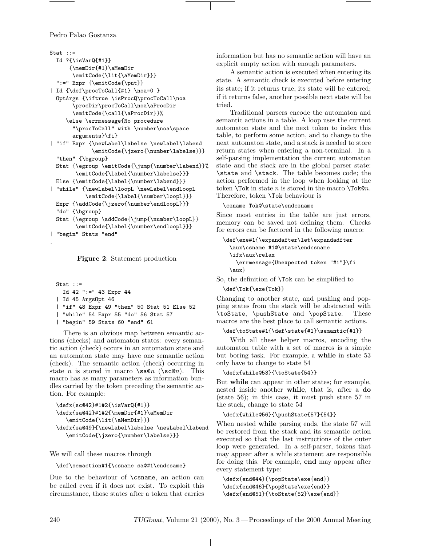Pedro Palao Gostanza

```
Stat ::=Id ?{\isVarQ{#1}}
      {\memDir{#1}\aMemDir
       \emitCode{\lit{\aMemDir}}}
  ":=" Expr {\emitCode{\put}}
| Id {\def\procToCall{#1} \noa=0 }
  OptArgs {\iftrue \isProcQ\procToCall\noa
       \procDir\procToCall\noa\aProcDir
       \emitCode{\call{\aProcDir}}%
     \else \errmessage{No procedure
       "\procToCall" with \number\noa\space
       arguments}\fi}
| "if" Expr {\newLabel\labelse \newLabel\labend
             \emitCode{\jzero{\number\labelse}}}
  "then" {\bgroup}
 Stat {\egroup \emitCode{\jump{\number\labend}}%
        \emitCode{\label{\number\labelse}}}
 Else {\emitCode{\label{\number\labend}}}
| "while" {\newLabel\loopL \newLabel\endloopL
           \emitCode{\label{\number\loopL}}}
 Expr {\addCode{\jzero{\number\endloopL}}}
  "do" {\bgroup}
  Stat {\egroup \addCode{\jump{\number\loopL}}
        \emitCode{\label{\number\endloopL}}}
| "begin" Stats "end"
```

```
Figure 2: Statement production
```

```
Stat ::=
  Id 42 ":=" 43 Expr 44
| Id 45 ArgsOpt 46
| "if" 48 Expr 49 "then" 50 Stat 51 Else 52
| "while" 54 Expr 55 "do" 56 Stat 57
| "begin" 59 Stats 60 "end" 61
```
There is an obvious map between semantic actions (checks) and automaton states: every semantic action (check) occurs in an automaton state and an automaton state may have one semantic action (check). The semantic action (check) occurring in state *n* is stored in macro  $\sa$ n ( $\searrow$ c $\alpha$ ). This macro has as many parameters as information bundles carried by the token preceding the semantic action. For example:

```
\defx{sc@42}#1#2{\isVarQ{#1}}
\defx{sa@42}#1#2{\memDir{#1}\aMemDir
   \emitCode{\lit{\aMemDir}}}
\defx{sa@49}{\newLabel\labelse \newLabel\labend
   \emitCode{\jzero{\number\labelse}}}
```
We will call these macros through

# \def\semaction#1{\csname sa@#1\endcsame}

Due to the behaviour of \csname, an action can be called even if it does not exist. To exploit this circumstance, those states after a token that carries information but has no semantic action will have an explicit empty action with enough parameters.

A semantic action is executed when entering its state. A semantic check is executed before entering its state; if it returns true, its state will be entered; if it returns false, another possible next state will be tried.

Traditional parsers encode the automaton and semantic actions in a table. A loop uses the current automaton state and the next token to index this table, to perform some action, and to change to the next automaton state, and a stack is needed to store return states when entering a non-terminal. In a self-parsing implementation the current automaton state and the stack are in the global parser state: \state and \stack. The table becomes code; the action performed in the loop when looking at the token  $\text{Tok}$  in state *n* is stored in the macro  $\text{Tok@n}$ . Therefore, token \Tok behaviour is

#### \csname Tok@\state\endcsname

Since most entries in the table are just errors, memory can be saved not defining them. Checks for errors can be factored in the following macro:

```
\def\exe#1{\expandafter\let\expandadfter
 \aux\csname #1@\state\endcsname
 \ifx\aux\relax
   \errmessage{Unexpected token "#1"}\fi
 \aux}
```
So, the definition of \Tok can be simplified to

# \def\Tok{\exe{Tok}}

Changing to another state, and pushing and popping states from the stack will be abstracted with \toState, \pushState and \popState. These macros are the best place to call semantic actions.

# \def\toState#1{\def\state{#1}\semantic{#1}}

With all these helper macros, encoding the automaton table with a set of macros is a simple but boring task. For example, a while in state 53 only have to change to state 54

# \defx{while@53}{\toState{54}}

But while can appear in other states; for example, nested inside another while, that is, after a do (state 56); in this case, it must push state 57 in the stack, change to state 54

# \defx{while@56}{\pushState{57}{54}}

When nested while parsing ends, the state 57 will be restored from the stack and its semantic action executed so that the last instructions of the outer loop were generated. In a self-parser, tokens that may appear after a while statement are responsible for doing this. For example, end may appear after every statement type:

\defx{end@44}{\popState\exe{end}} \defx{end@46}{\popState\exe{end}} \defx{end@51}{\toState{52}\exe{end}}

.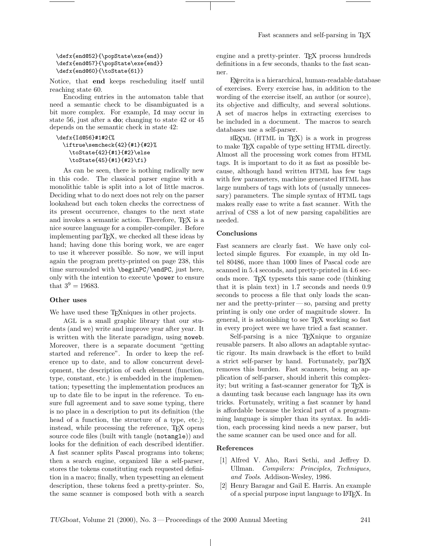#### \defx{end@52}{\popState\exe{end}} \defx{end@57}{\popState\exe{end}} \defx{end@60}{\toState{61}}

Notice, that end keeps rescheduling itself until reaching state 60.

Encoding entries in the automaton table that need a semantic check to be disambiguated is a bit more complex. For example, Id may occur in state 56, just after a do; changing to state 42 or 45 depends on the semantic check in state 42:

### \defx{Id@56}#1#2{% \iftrue\semcheck{42}{#1}{#2}% \toState{42}{#1}{#2}\else \toState{45}{#1}{#2}\fi}

As can be seen, there is nothing radically new in this code. The classical parser engine with a monolithic table is split into a lot of little macros. Deciding what to do next does not rely on the parser lookahead but each token checks the correctness of its present occurrence, changes to the next state and invokes a semantic action. Therefore, TEX is a nice source language for a compiler-compiler. Before implementing parT<sub>F</sub>X, we checked all these ideas by hand; having done this boring work, we are eager to use it wherever possible. So now, we will input again the program pretty-printed on page 238, this time surrounded with \beginPC/\endPC, just here, only with the intention to execute \power to ensure that  $3^9 = 19683$ .

#### Other uses

We have used these T<sub>E</sub>X niques in other projects.

AGL is a small graphic library that our students (and we) write and improve year after year. It is written with the literate paradigm, using noweb. Moreover, there is a separate document "getting started and reference". In order to keep the reference up to date, and to allow concurrent development, the description of each element (function, type, constant, etc.) is embedded in the implementation; typesetting the implementation produces an up to date file to be input in the reference. To ensure full agreement and to save some typing, there is no place in a description to put its definition (the head of a function, the structure of a type, etc.); instead, while processing the reference, TEX opens source code files (built with tangle (notangle)) and looks for the definition of each described identifier. A fast scanner splits Pascal programs into tokens; then a search engine, organized like a self-parser, stores the tokens constituting each requested definition in a macro; finally, when typesetting an element description, these tokens feed a pretty-printer. So, the same scanner is composed both with a search engine and a pretty-printer. T<sub>EX</sub> process hundreds definitions in a few seconds, thanks to the fast scanner.

EXercita is a hierarchical, human-readable database of exercises. Every exercise has, in addition to the wording of the exercise itself, an author (or source), its objective and difficulty, and several solutions. A set of macros helps in extracting exercises to be included in a document. The macros to search databases use a self-parser.

hTXml (HTML in TEX) is a work in progress to make TEX capable of type setting HTML directly. Almost all the processing work comes from HTML tags. It is important to do it as fast as possible because, although hand written HTML has few tags with few parameters, machine generated HTML has large numbers of tags with lots of (usually unnecessary) parameters. The simple syntax of HTML tags makes really ease to write a fast scanner. With the arrival of CSS a lot of new parsing capabilities are needed.

#### Conclusions

Fast scanners are clearly fast. We have only collected simple figures. For example, in my old Intel 80486, more than 1000 lines of Pascal code are scanned in 5.4 seconds, and pretty-printed in 4.6 seconds more. TEX typesets this same code (thinking that it is plain text) in 1.7 seconds and needs 0.9 seconds to process a file that only loads the scanner and the pretty-printer— so, parsing and pretty printing is only one order of magnitude slower. In general, it is astonishing to see TEX working so fast in every project were we have tried a fast scanner.

Self-parsing is a nice TEXnique to organize reusable parsers. It also allows an adaptable syntactic rigour. Its main drawback is the effort to build a strict self-parser by hand. Fortunately,  $parTr X$ removes this burden. Fast scanners, being an application of self-parser, should inherit this complexity; but writing a fast-scanner generator for TFX is a daunting task because each language has its own tricks. Fortunately, writing a fast scanner by hand is affordable because the lexical part of a programming language is simpler than its syntax. In addition, each processing kind needs a new parser, but the same scanner can be used once and for all.

# References

 $\mathbf{L}$ 

- [1] Alfred V. Aho, Ravi Sethi, and Jeffrey D. Ullman. Compilers: Principles, Techniques, and Tools. Addison-Wesley, 1986.
- [2] Henry Baragar and Gail E. Harris. An example of a special purpose input language to LATEX. In